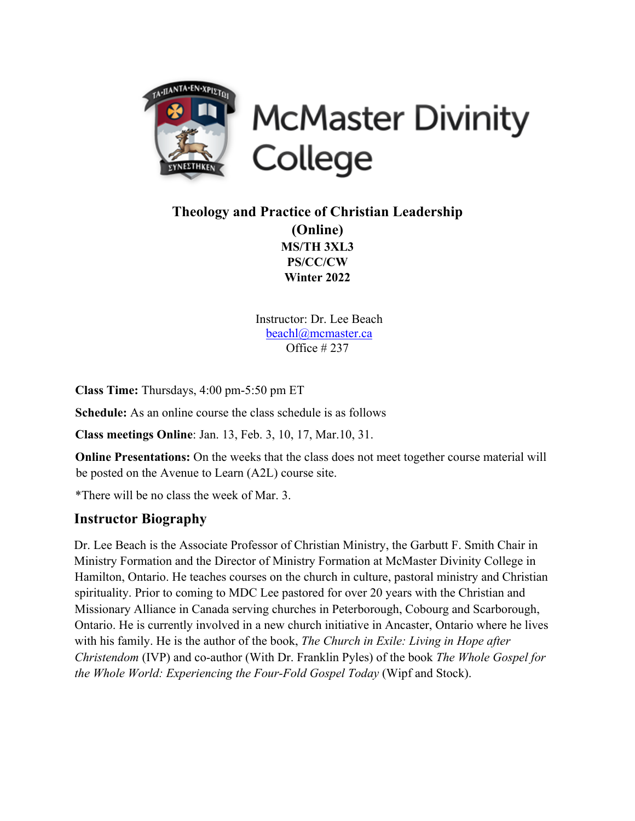

# **McMaster Divinity** College

## **Theology and Practice of Christian Leadership (Online) MS/TH 3XL3 PS/CC/CW Winter 2022**

Instructor: Dr. Lee Beach beachl@mcmaster.ca Office # 237

**Class Time:** Thursdays, 4:00 pm-5:50 pm ET

**Schedule:** As an online course the class schedule is as follows

**Class meetings Online**: Jan. 13, Feb. 3, 10, 17, Mar.10, 31.

**Online Presentations:** On the weeks that the class does not meet together course material will be posted on the Avenue to Learn (A2L) course site.

\*There will be no class the week of Mar. 3.

## **Instructor Biography**

Dr. Lee Beach is the Associate Professor of Christian Ministry, the Garbutt F. Smith Chair in Ministry Formation and the Director of Ministry Formation at McMaster Divinity College in Hamilton, Ontario. He teaches courses on the church in culture, pastoral ministry and Christian spirituality. Prior to coming to MDC Lee pastored for over 20 years with the Christian and Missionary Alliance in Canada serving churches in Peterborough, Cobourg and Scarborough, Ontario. He is currently involved in a new church initiative in Ancaster, Ontario where he lives with his family. He is the author of the book, *The Church in Exile: Living in Hope after Christendom* (IVP) and co-author (With Dr. Franklin Pyles) of the book *The Whole Gospel for the Whole World: Experiencing the Four-Fold Gospel Today (Wipf and Stock).*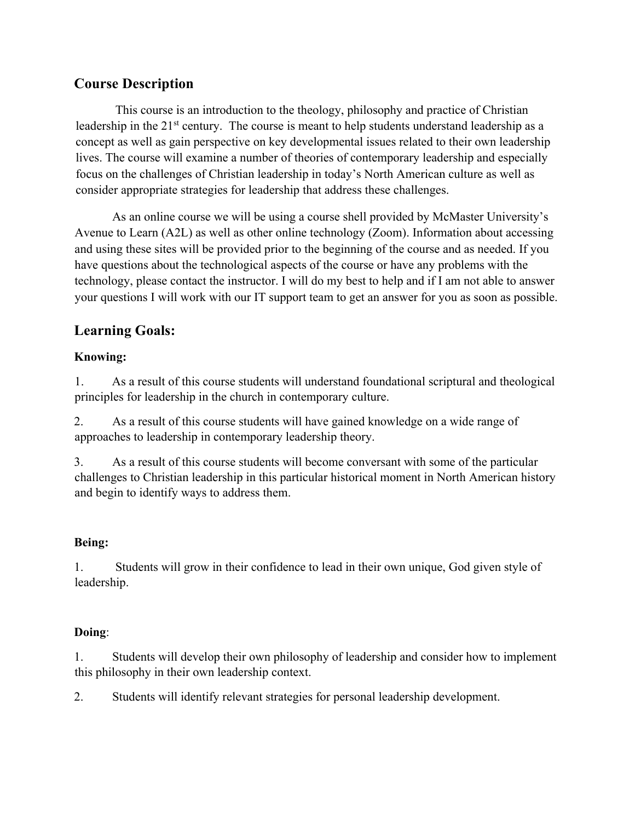## **Course Description**

This course is an introduction to the theology, philosophy and practice of Christian leadership in the 21<sup>st</sup> century. The course is meant to help students understand leadership as a concept as well as gain perspective on key developmental issues related to their own leadership lives. The course will examine a number of theories of contemporary leadership and especially focus on the challenges of Christian leadership in today's North American culture as well as consider appropriate strategies for leadership that address these challenges.

As an online course we will be using a course shell provided by McMaster University's Avenue to Learn (A2L) as well as other online technology (Zoom). Information about accessing and using these sites will be provided prior to the beginning of the course and as needed. If you have questions about the technological aspects of the course or have any problems with the technology, please contact the instructor. I will do my best to help and if I am not able to answer your questions I will work with our IT support team to get an answer for you as soon as possible.

## **Learning Goals:**

#### **Knowing:**

1. As a result of this course students will understand foundational scriptural and theological principles for leadership in the church in contemporary culture.

2. As a result of this course students will have gained knowledge on a wide range of approaches to leadership in contemporary leadership theory.

3. As a result of this course students will become conversant with some of the particular challenges to Christian leadership in this particular historical moment in North American history and begin to identify ways to address them.

#### **Being:**

1. Students will grow in their confidence to lead in their own unique, God given style of leadership.

#### **Doing**:

1. Students will develop their own philosophy of leadership and consider how to implement this philosophy in their own leadership context.

2. Students will identify relevant strategies for personal leadership development.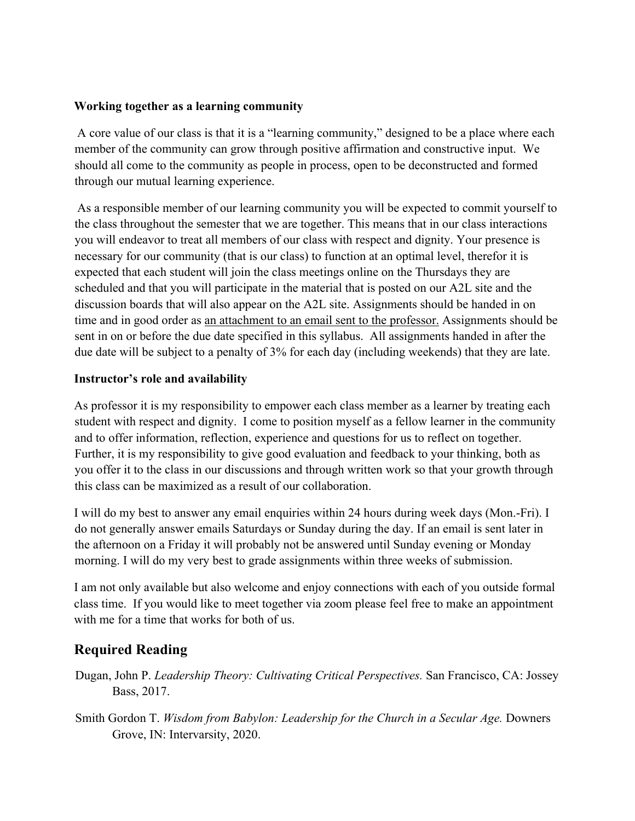#### **Working together as a learning community**

A core value of our class is that it is a "learning community," designed to be a place where each member of the community can grow through positive affirmation and constructive input. We should all come to the community as people in process, open to be deconstructed and formed through our mutual learning experience.

As a responsible member of our learning community you will be expected to commit yourself to the class throughout the semester that we are together. This means that in our class interactions you will endeavor to treat all members of our class with respect and dignity. Your presence is necessary for our community (that is our class) to function at an optimal level, therefor it is expected that each student will join the class meetings online on the Thursdays they are scheduled and that you will participate in the material that is posted on our A2L site and the discussion boards that will also appear on the A2L site. Assignments should be handed in on time and in good order as an attachment to an email sent to the professor. Assignments should be sent in on or before the due date specified in this syllabus. All assignments handed in after the due date will be subject to a penalty of 3% for each day (including weekends) that they are late.

#### **Instructor's role and availability**

As professor it is my responsibility to empower each class member as a learner by treating each student with respect and dignity. I come to position myself as a fellow learner in the community and to offer information, reflection, experience and questions for us to reflect on together. Further, it is my responsibility to give good evaluation and feedback to your thinking, both as you offer it to the class in our discussions and through written work so that your growth through this class can be maximized as a result of our collaboration.

I will do my best to answer any email enquiries within 24 hours during week days (Mon.-Fri). I do not generally answer emails Saturdays or Sunday during the day. If an email is sent later in the afternoon on a Friday it will probably not be answered until Sunday evening or Monday morning. I will do my very best to grade assignments within three weeks of submission.

I am not only available but also welcome and enjoy connections with each of you outside formal class time. If you would like to meet together via zoom please feel free to make an appointment with me for a time that works for both of us.

## **Required Reading**

- Dugan, John P. *Leadership Theory: Cultivating Critical Perspectives.* San Francisco, CA: Jossey Bass, 2017.
- Smith Gordon T. *Wisdom from Babylon: Leadership for the Church in a Secular Age.* Downers Grove, IN: Intervarsity, 2020.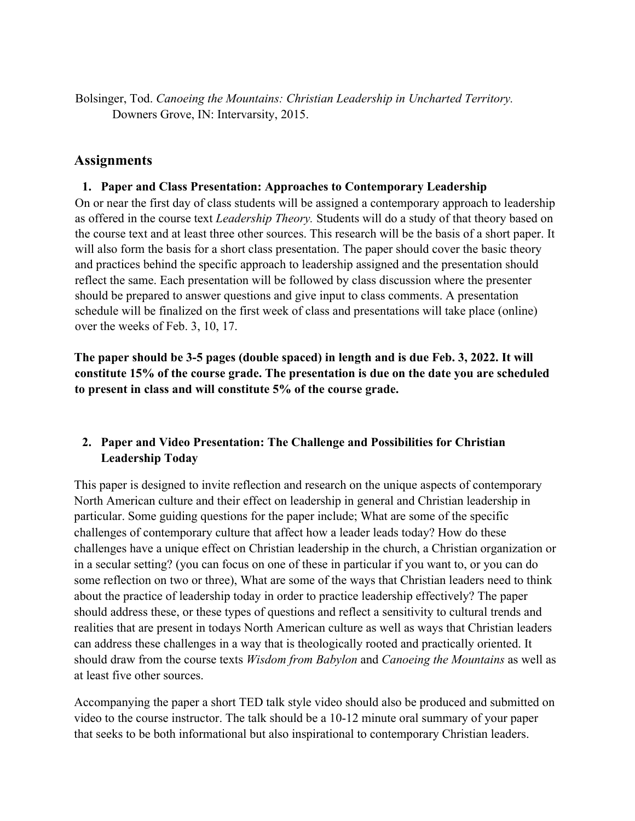Bolsinger, Tod. *Canoeing the Mountains: Christian Leadership in Uncharted Territory.*  Downers Grove, IN: Intervarsity, 2015.

#### **Assignments**

#### **1. Paper and Class Presentation: Approaches to Contemporary Leadership**

On or near the first day of class students will be assigned a contemporary approach to leadership as offered in the course text *Leadership Theory.* Students will do a study of that theory based on the course text and at least three other sources. This research will be the basis of a short paper. It will also form the basis for a short class presentation. The paper should cover the basic theory and practices behind the specific approach to leadership assigned and the presentation should reflect the same. Each presentation will be followed by class discussion where the presenter should be prepared to answer questions and give input to class comments. A presentation schedule will be finalized on the first week of class and presentations will take place (online) over the weeks of Feb. 3, 10, 17.

**The paper should be 3-5 pages (double spaced) in length and is due Feb. 3, 2022. It will constitute 15% of the course grade. The presentation is due on the date you are scheduled to present in class and will constitute 5% of the course grade.**

#### **2. Paper and Video Presentation: The Challenge and Possibilities for Christian Leadership Today**

This paper is designed to invite reflection and research on the unique aspects of contemporary North American culture and their effect on leadership in general and Christian leadership in particular. Some guiding questions for the paper include; What are some of the specific challenges of contemporary culture that affect how a leader leads today? How do these challenges have a unique effect on Christian leadership in the church, a Christian organization or in a secular setting? (you can focus on one of these in particular if you want to, or you can do some reflection on two or three), What are some of the ways that Christian leaders need to think about the practice of leadership today in order to practice leadership effectively? The paper should address these, or these types of questions and reflect a sensitivity to cultural trends and realities that are present in todays North American culture as well as ways that Christian leaders can address these challenges in a way that is theologically rooted and practically oriented. It should draw from the course texts *Wisdom from Babylon* and *Canoeing the Mountains* as well as at least five other sources.

Accompanying the paper a short TED talk style video should also be produced and submitted on video to the course instructor. The talk should be a 10-12 minute oral summary of your paper that seeks to be both informational but also inspirational to contemporary Christian leaders.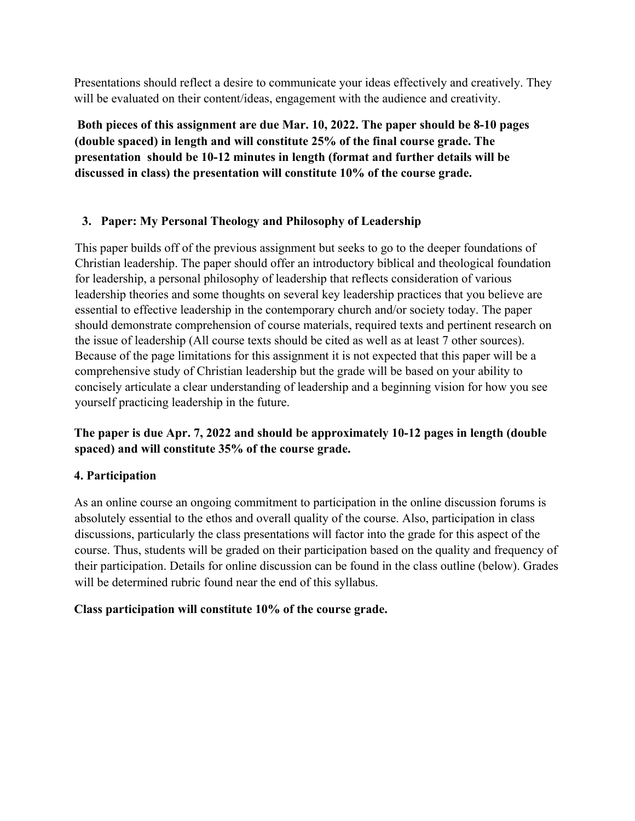Presentations should reflect a desire to communicate your ideas effectively and creatively. They will be evaluated on their content/ideas, engagement with the audience and creativity.

**Both pieces of this assignment are due Mar. 10, 2022. The paper should be 8-10 pages (double spaced) in length and will constitute 25% of the final course grade. The presentation should be 10-12 minutes in length (format and further details will be discussed in class) the presentation will constitute 10% of the course grade.** 

#### **3. Paper: My Personal Theology and Philosophy of Leadership**

This paper builds off of the previous assignment but seeks to go to the deeper foundations of Christian leadership. The paper should offer an introductory biblical and theological foundation for leadership, a personal philosophy of leadership that reflects consideration of various leadership theories and some thoughts on several key leadership practices that you believe are essential to effective leadership in the contemporary church and/or society today. The paper should demonstrate comprehension of course materials, required texts and pertinent research on the issue of leadership (All course texts should be cited as well as at least 7 other sources). Because of the page limitations for this assignment it is not expected that this paper will be a comprehensive study of Christian leadership but the grade will be based on your ability to concisely articulate a clear understanding of leadership and a beginning vision for how you see yourself practicing leadership in the future.

### **The paper is due Apr. 7, 2022 and should be approximately 10-12 pages in length (double spaced) and will constitute 35% of the course grade.**

#### **4. Participation**

As an online course an ongoing commitment to participation in the online discussion forums is absolutely essential to the ethos and overall quality of the course. Also, participation in class discussions, particularly the class presentations will factor into the grade for this aspect of the course. Thus, students will be graded on their participation based on the quality and frequency of their participation. Details for online discussion can be found in the class outline (below). Grades will be determined rubric found near the end of this syllabus.

#### **Class participation will constitute 10% of the course grade.**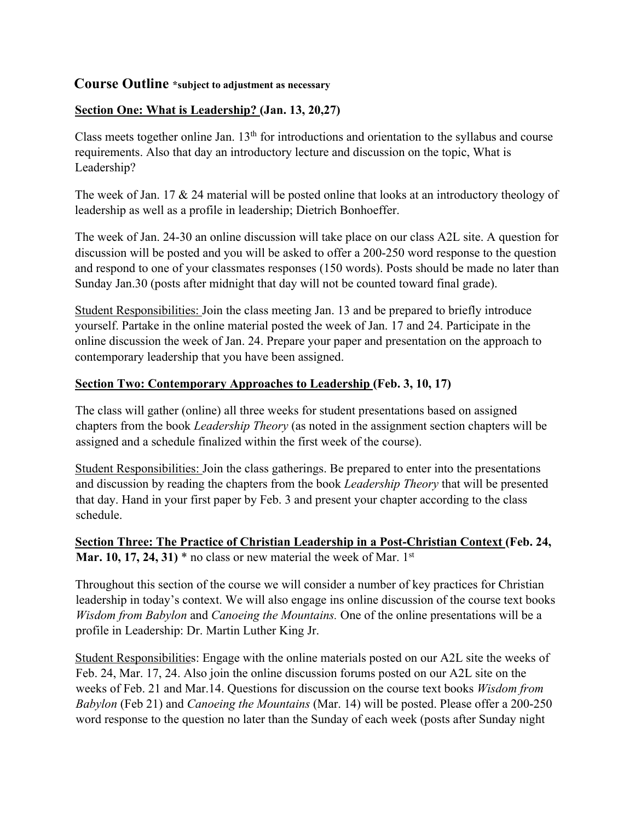#### **Course Outline \*subject to adjustment as necessary**

#### **Section One: What is Leadership? (Jan. 13, 20,27)**

Class meets together online Jan.  $13<sup>th</sup>$  for introductions and orientation to the syllabus and course requirements. Also that day an introductory lecture and discussion on the topic, What is Leadership?

The week of Jan. 17 & 24 material will be posted online that looks at an introductory theology of leadership as well as a profile in leadership; Dietrich Bonhoeffer.

The week of Jan. 24-30 an online discussion will take place on our class A2L site. A question for discussion will be posted and you will be asked to offer a 200-250 word response to the question and respond to one of your classmates responses (150 words). Posts should be made no later than Sunday Jan.30 (posts after midnight that day will not be counted toward final grade).

Student Responsibilities: Join the class meeting Jan. 13 and be prepared to briefly introduce yourself. Partake in the online material posted the week of Jan. 17 and 24. Participate in the online discussion the week of Jan. 24. Prepare your paper and presentation on the approach to contemporary leadership that you have been assigned.

#### **Section Two: Contemporary Approaches to Leadership (Feb. 3, 10, 17)**

The class will gather (online) all three weeks for student presentations based on assigned chapters from the book *Leadership Theory* (as noted in the assignment section chapters will be assigned and a schedule finalized within the first week of the course).

Student Responsibilities: Join the class gatherings. Be prepared to enter into the presentations and discussion by reading the chapters from the book *Leadership Theory* that will be presented that day. Hand in your first paper by Feb. 3 and present your chapter according to the class schedule.

#### **Section Three: The Practice of Christian Leadership in a Post-Christian Context (Feb. 24, Mar. 10, 17, 24, 31)**  $*$  no class or new material the week of Mar. 1st

Throughout this section of the course we will consider a number of key practices for Christian leadership in today's context. We will also engage ins online discussion of the course text books *Wisdom from Babylon* and *Canoeing the Mountains.* One of the online presentations will be a profile in Leadership: Dr. Martin Luther King Jr.

Student Responsibilities: Engage with the online materials posted on our A2L site the weeks of Feb. 24, Mar. 17, 24. Also join the online discussion forums posted on our A2L site on the weeks of Feb. 21 and Mar.14. Questions for discussion on the course text books *Wisdom from Babylon* (Feb 21) and *Canoeing the Mountains* (Mar. 14) will be posted. Please offer a 200-250 word response to the question no later than the Sunday of each week (posts after Sunday night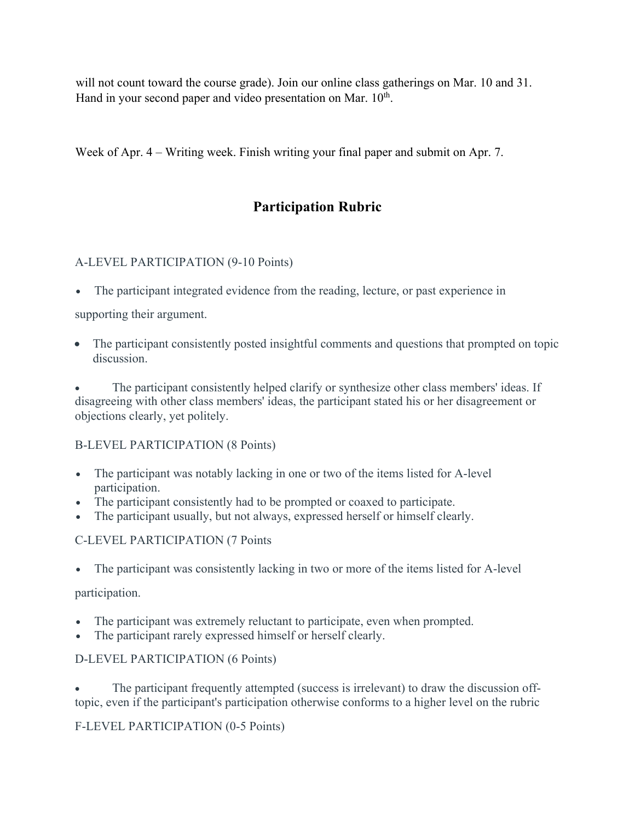will not count toward the course grade). Join our online class gatherings on Mar. 10 and 31. Hand in your second paper and video presentation on Mar.  $10<sup>th</sup>$ .

Week of Apr. 4 – Writing week. Finish writing your final paper and submit on Apr. 7.

## **Participation Rubric**

#### A-LEVEL PARTICIPATION (9-10 Points)

• The participant integrated evidence from the reading, lecture, or past experience in

supporting their argument.

• The participant consistently posted insightful comments and questions that prompted on topic discussion.

The participant consistently helped clarify or synthesize other class members' ideas. If disagreeing with other class members' ideas, the participant stated his or her disagreement or objections clearly, yet politely.

#### B-LEVEL PARTICIPATION (8 Points)

- The participant was notably lacking in one or two of the items listed for A-level participation.
- The participant consistently had to be prompted or coaxed to participate.
- The participant usually, but not always, expressed herself or himself clearly.

#### C-LEVEL PARTICIPATION (7 Points

• The participant was consistently lacking in two or more of the items listed for A-level

#### participation.

- The participant was extremely reluctant to participate, even when prompted.
- The participant rarely expressed himself or herself clearly.

#### D-LEVEL PARTICIPATION (6 Points)

The participant frequently attempted (success is irrelevant) to draw the discussion offtopic, even if the participant's participation otherwise conforms to a higher level on the rubric

#### F-LEVEL PARTICIPATION (0-5 Points)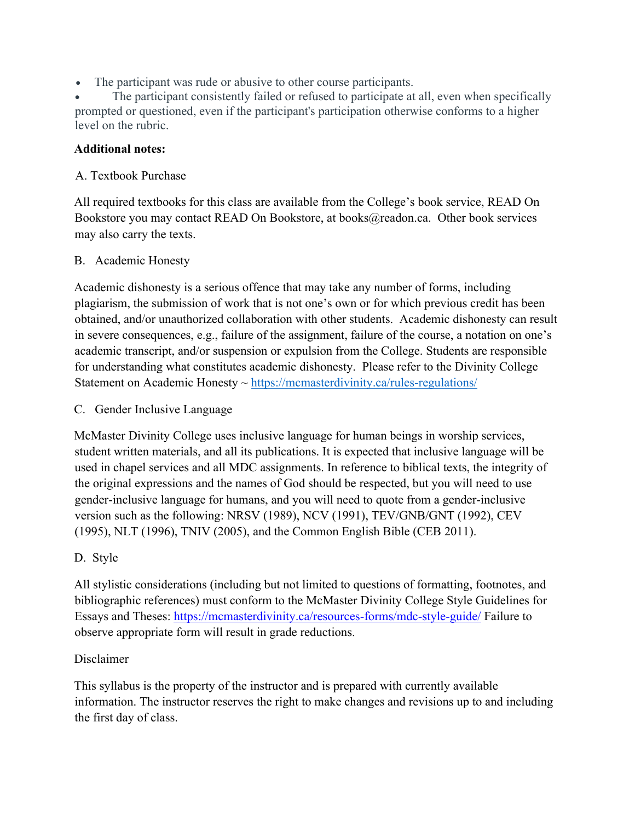• The participant was rude or abusive to other course participants.

The participant consistently failed or refused to participate at all, even when specifically prompted or questioned, even if the participant's participation otherwise conforms to a higher level on the rubric.

#### **Additional notes:**

#### A. Textbook Purchase

All required textbooks for this class are available from the College's book service, READ On Bookstore you may contact READ On Bookstore, at books@readon.ca. Other book services may also carry the texts.

#### B. Academic Honesty

Academic dishonesty is a serious offence that may take any number of forms, including plagiarism, the submission of work that is not one's own or for which previous credit has been obtained, and/or unauthorized collaboration with other students. Academic dishonesty can result in severe consequences, e.g., failure of the assignment, failure of the course, a notation on one's academic transcript, and/or suspension or expulsion from the College. Students are responsible for understanding what constitutes academic dishonesty. Please refer to the Divinity College Statement on Academic Honesty ~ https://mcmasterdivinity.ca/rules-regulations/

#### C. Gender Inclusive Language

McMaster Divinity College uses inclusive language for human beings in worship services, student written materials, and all its publications. It is expected that inclusive language will be used in chapel services and all MDC assignments. In reference to biblical texts, the integrity of the original expressions and the names of God should be respected, but you will need to use gender-inclusive language for humans, and you will need to quote from a gender-inclusive version such as the following: NRSV (1989), NCV (1991), TEV/GNB/GNT (1992), CEV (1995), NLT (1996), TNIV (2005), and the Common English Bible (CEB 2011).

#### D. Style

All stylistic considerations (including but not limited to questions of formatting, footnotes, and bibliographic references) must conform to the McMaster Divinity College Style Guidelines for Essays and Theses: https://mcmasterdivinity.ca/resources-forms/mdc-style-guide/ Failure to observe appropriate form will result in grade reductions.

#### Disclaimer

This syllabus is the property of the instructor and is prepared with currently available information. The instructor reserves the right to make changes and revisions up to and including the first day of class.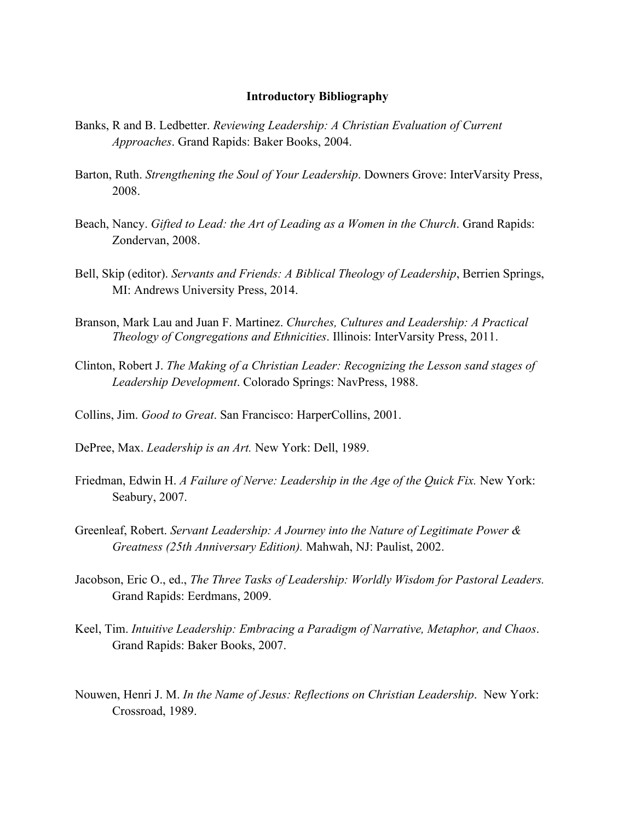#### **Introductory Bibliography**

- Banks, R and B. Ledbetter. *Reviewing Leadership: A Christian Evaluation of Current Approaches*. Grand Rapids: Baker Books, 2004.
- Barton, Ruth. *Strengthening the Soul of Your Leadership*. Downers Grove: InterVarsity Press, 2008.
- Beach, Nancy. *Gifted to Lead: the Art of Leading as a Women in the Church*. Grand Rapids: Zondervan, 2008.
- Bell, Skip (editor). *Servants and Friends: A Biblical Theology of Leadership*, Berrien Springs, MI: Andrews University Press, 2014.
- Branson, Mark Lau and Juan F. Martinez. *Churches, Cultures and Leadership: A Practical Theology of Congregations and Ethnicities*. Illinois: InterVarsity Press, 2011.
- Clinton, Robert J. *The Making of a Christian Leader: Recognizing the Lesson sand stages of Leadership Development*. Colorado Springs: NavPress, 1988.
- Collins, Jim. *Good to Great*. San Francisco: HarperCollins, 2001.
- DePree, Max. *Leadership is an Art.* New York: Dell, 1989.
- Friedman, Edwin H. *A Failure of Nerve: Leadership in the Age of the Quick Fix.* New York: Seabury, 2007.
- Greenleaf, Robert. *Servant Leadership: A Journey into the Nature of Legitimate Power & Greatness (25th Anniversary Edition).* Mahwah, NJ: Paulist, 2002.
- Jacobson, Eric O., ed., *The Three Tasks of Leadership: Worldly Wisdom for Pastoral Leaders.*  Grand Rapids: Eerdmans, 2009.
- Keel, Tim. *Intuitive Leadership: Embracing a Paradigm of Narrative, Metaphor, and Chaos*. Grand Rapids: Baker Books, 2007.
- Nouwen, Henri J. M. *In the Name of Jesus: Reflections on Christian Leadership*. New York: Crossroad, 1989.